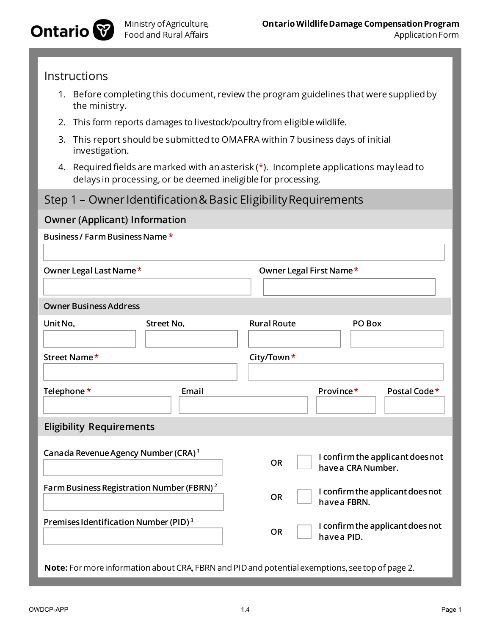

## Instructions

- 1. Before completing this document, review the program guidelines that were supplied by the ministry.
- 2. This form reports damages to livestock/poultry from eligiblewildlife.
- 3. This report should be submitted to OMAFRA within 7 business days of initial investigation.
- 4. Required fields are marked with an asterisk  $(*)$ . Incomplete applications may lead to delays in processing, or be deemed ineligible for processing.

# Step 1 – Owner Identification & Basic Eligibility Requirements

| <b>Owner (Applicant) Information</b>                                                            |                                                                     |
|-------------------------------------------------------------------------------------------------|---------------------------------------------------------------------|
| Business / Farm Business Name *                                                                 |                                                                     |
|                                                                                                 |                                                                     |
| Owner Legal Last Name*                                                                          | Owner Legal First Name*                                             |
|                                                                                                 |                                                                     |
| <b>Owner Business Address</b>                                                                   |                                                                     |
| Unit No.<br><b>Street No.</b>                                                                   | <b>Rural Route</b><br>PO Box                                        |
|                                                                                                 |                                                                     |
| Street Name*                                                                                    | City/Town*                                                          |
|                                                                                                 |                                                                     |
| Telephone *<br>Email                                                                            | Province*<br>Postal Code*                                           |
|                                                                                                 |                                                                     |
| <b>Eligibility Requirements</b>                                                                 |                                                                     |
|                                                                                                 |                                                                     |
| Canada Revenue Agency Number (CRA) <sup>1</sup>                                                 | I confirm the applicant does not<br><b>OR</b><br>have a CRA Number. |
|                                                                                                 |                                                                     |
| Farm Business Registration Number (FBRN) <sup>2</sup>                                           | I confirm the applicant does not<br><b>OR</b><br>have a FBRN.       |
|                                                                                                 |                                                                     |
| Premises Identification Number (PID) <sup>3</sup>                                               | I confirm the applicant does not<br><b>OR</b><br>havea PID.         |
|                                                                                                 |                                                                     |
| Note: For more information about CRA, FBRN and PID and potential exemptions, see top of page 2. |                                                                     |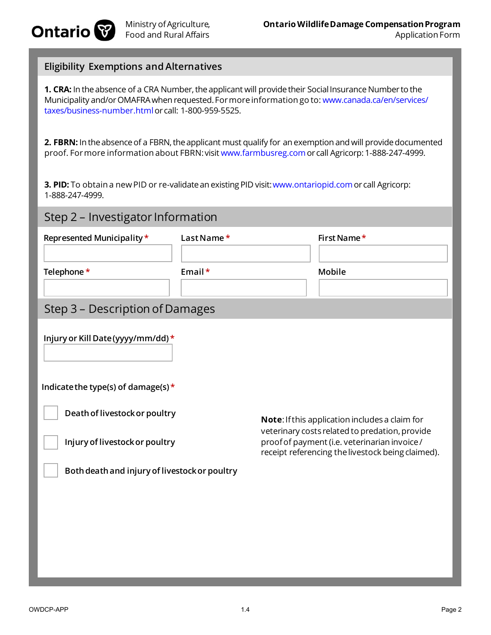

#### **Eligibility Exemptions and Alternatives**

**1. CRA:** In the absence of a CRA Number, the applicant will provide their Social Insurance Number to the Municipality and/or OMAFRA when requested. For more information go to: www.canada.ca/en/services/ taxes/business-number.htmlor call: 1-800-959-5525.

**2. FBRN:** In the absence of a FBRN, the applicant must qualify for an exemption and will provide documented proof. For more information about FBRN:visit www.farmbusreg.comor call Agricorp: 1-888-247-4999.

**3. PID:** To obtain a new PID or re-validate an existing PID visit: www.ontariopid.com or call Agricorp: 1-888-247-4999.

## Step 2 – Investigator Information

| Represented Municipality *      | Last Name $*$ | First Name* |  |
|---------------------------------|---------------|-------------|--|
| Telephone *                     | Email $*$     | Mobile      |  |
| Step 3 – Description of Damages |               |             |  |

| Injury or Kill Date (yyyy/mm/dd) *            |                                                                                                                                                      |
|-----------------------------------------------|------------------------------------------------------------------------------------------------------------------------------------------------------|
| Indicate the type(s) of damage(s) $*$         |                                                                                                                                                      |
| Death of livestock or poultry                 | <b>Note:</b> If this application includes a claim for                                                                                                |
| Injury of livestock or poultry                | veterinary costs related to predation, provide<br>proof of payment (i.e. veterinarian invoice /<br>receipt referencing the livestock being claimed). |
| Both death and injury of livestock or poultry |                                                                                                                                                      |
|                                               |                                                                                                                                                      |
|                                               |                                                                                                                                                      |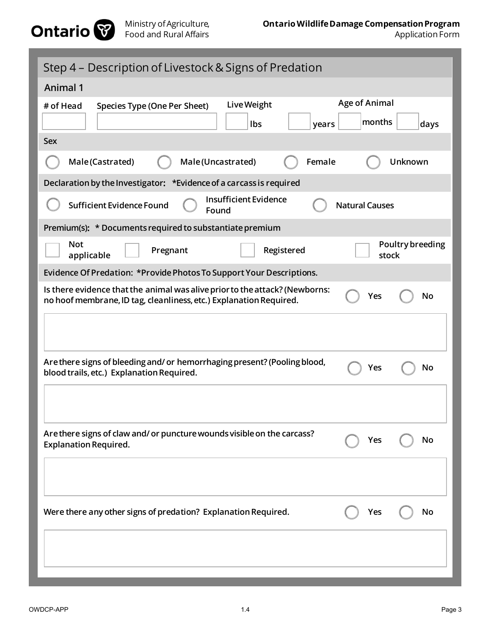

| Step 4 – Description of Livestock & Signs of Predation                                                                                                         |
|----------------------------------------------------------------------------------------------------------------------------------------------------------------|
| <b>Animal 1</b>                                                                                                                                                |
| <b>Age of Animal</b><br>Live Weight<br># of Head<br><b>Species Type (One Per Sheet)</b><br>months<br>Ibs<br>days<br>years<br>Sex                               |
| Female<br>Male(Uncastrated)<br><b>Unknown</b><br>Male(Castrated)                                                                                               |
| Declaration by the Investigator: *Evidence of a carcass is required                                                                                            |
| <b>Insufficient Evidence</b><br><b>Sufficient Evidence Found</b><br><b>Natural Causes</b><br>Found                                                             |
| Premium(s): * Documents required to substantiate premium                                                                                                       |
| Poultry breeding<br><b>Not</b><br>Registered<br>Pregnant<br>stock<br>applicable                                                                                |
| Evidence Of Predation: *Provide Photos To Support Your Descriptions.                                                                                           |
| Is there evidence that the animal was alive prior to the attack? (Newborns:<br>Yes<br>No<br>no hoof membrane, ID tag, cleanliness, etc.) Explanation Required. |
| Are there signs of bleeding and/ or hemorrhaging present? (Pooling blood,<br>No<br>Yes<br>blood trails, etc.) Explanation Required.                            |
| Are there signs of claw and/ or puncture wounds visible on the carcass?<br>Yes<br>No<br><b>Explanation Required.</b>                                           |
| Were there any other signs of predation? Explanation Required.<br>Yes<br>No                                                                                    |
|                                                                                                                                                                |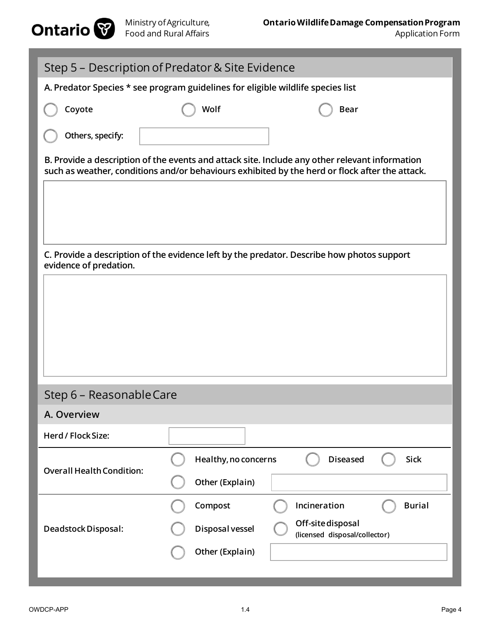

| Step 5 – Description of Predator & Site Evidence                                |                      |                                                                                                                                                                                                  |
|---------------------------------------------------------------------------------|----------------------|--------------------------------------------------------------------------------------------------------------------------------------------------------------------------------------------------|
| A. Predator Species * see program guidelines for eligible wildlife species list |                      |                                                                                                                                                                                                  |
| Coyote                                                                          | Wolf                 | <b>Bear</b>                                                                                                                                                                                      |
| Others, specify:                                                                |                      |                                                                                                                                                                                                  |
|                                                                                 |                      | B. Provide a description of the events and attack site. Include any other relevant information<br>such as weather, conditions and/or behaviours exhibited by the herd or flock after the attack. |
|                                                                                 |                      |                                                                                                                                                                                                  |
|                                                                                 |                      |                                                                                                                                                                                                  |
| evidence of predation.                                                          |                      | C. Provide a description of the evidence left by the predator. Describe how photos support                                                                                                       |
|                                                                                 |                      |                                                                                                                                                                                                  |
|                                                                                 |                      |                                                                                                                                                                                                  |
|                                                                                 |                      |                                                                                                                                                                                                  |
|                                                                                 |                      |                                                                                                                                                                                                  |
|                                                                                 |                      |                                                                                                                                                                                                  |
| Step 6 - Reasonable Care                                                        |                      |                                                                                                                                                                                                  |
| A. Overview                                                                     |                      |                                                                                                                                                                                                  |
| Herd / Flock Size:                                                              |                      |                                                                                                                                                                                                  |
| <b>Overall Health Condition:</b>                                                | Healthy, no concerns | <b>Diseased</b><br><b>Sick</b>                                                                                                                                                                   |
|                                                                                 | Other (Explain)      |                                                                                                                                                                                                  |
|                                                                                 | Compost              | Incineration<br><b>Burial</b>                                                                                                                                                                    |
| Deadstock Disposal:                                                             | Disposal vessel      | Off-site disposal<br>(licensed disposal/collector)                                                                                                                                               |
|                                                                                 | Other (Explain)      |                                                                                                                                                                                                  |
|                                                                                 |                      |                                                                                                                                                                                                  |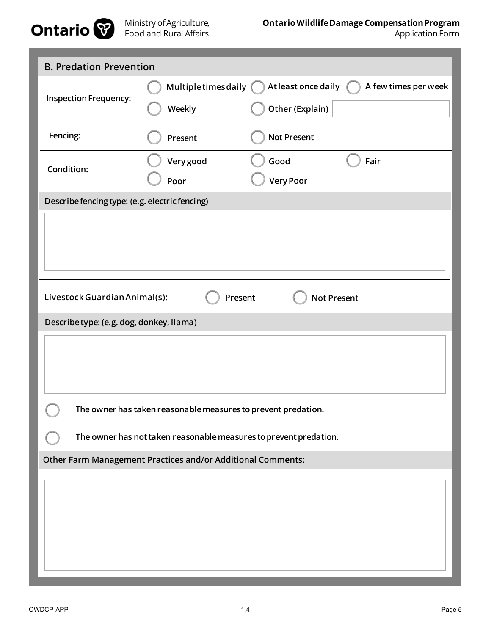

| <b>B. Predation Prevention</b>                 |                                                                   |                                             |
|------------------------------------------------|-------------------------------------------------------------------|---------------------------------------------|
|                                                | Multiple times daily (                                            | At least once daily<br>A few times per week |
| <b>Inspection Frequency:</b>                   | Weekly                                                            | Other (Explain)                             |
| Fencing:                                       | Present                                                           | <b>Not Present</b>                          |
| Condition:                                     | Very good                                                         | Good<br>Fair                                |
|                                                | Poor                                                              | <b>Very Poor</b>                            |
| Describe fencing type: (e.g. electric fencing) |                                                                   |                                             |
|                                                |                                                                   |                                             |
|                                                |                                                                   |                                             |
|                                                |                                                                   |                                             |
|                                                |                                                                   |                                             |
| Livestock Guardian Animal(s):                  | Present                                                           | <b>Not Present</b>                          |
| Describe type: (e.g. dog, donkey, llama)       |                                                                   |                                             |
|                                                |                                                                   |                                             |
|                                                |                                                                   |                                             |
|                                                |                                                                   |                                             |
|                                                | The owner has taken reasonable measures to prevent predation.     |                                             |
|                                                | The owner has not taken reasonable measures to prevent predation. |                                             |
|                                                | Other Farm Management Practices and/or Additional Comments:       |                                             |
|                                                |                                                                   |                                             |
|                                                |                                                                   |                                             |
|                                                |                                                                   |                                             |
|                                                |                                                                   |                                             |
|                                                |                                                                   |                                             |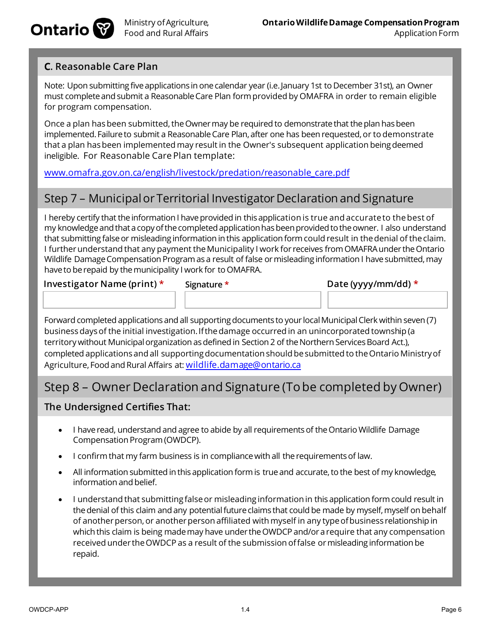

## **C. Reasonable Care Plan**

Note: Upon submitting five applications in one calendar year (i.e.January 1st to December 31st), an Owner must complete and submit a Reasonable Care Plan formprovided by OMAFRA in order to remain eligible for program compensation.

Once a plan has been submitted, the Owner may be required to demonstrate that the plan has been implemented. Failure to submit a Reasonable Care Plan, after one has been requested, or to demonstrate that a plan has been implemented may result in the Owner's subsequent application being deemed ineligible. For Reasonable Care Plan template:

www.omafra.gov.on.ca/english/livestock/predation/reasonable\_care.pdf

# Step 7 – Municipal or Territorial Investigator Declaration and Signature

I hereby certify that the information I have provided in this application is true and accurate to the best of my knowledge and that a copy of the completed application has been provided to the owner. I also understand that submitting false or misleading information in this application formcould result in the denial of the claim. I further understand that any payment the Municipality I work for receives from OMAFRA under the Ontario Wildlife Damage Compensation Program as a result of false or misleading information I have submitted, may have to be repaid by the municipality I work for to OMAFRA.

**Investigator Name (print) \* Signature \* Date (yyyy/mm/dd) \***

Forward completed applications and all supporting documents to your local Municipal Clerk within seven (7) business days of the initial investigation. If the damage occurred in an unincorporated township (a territory without Municipal organization as defined in Section 2 of the Northern Services Board Act.), completed applications and all supporting documentation should be submitted to the Ontario Ministry of Agriculture, Food and Rural Affairs at: wildlife.damage@ontario.ca

# Step 8 – Owner Declaration and Signature (To be completed by Owner)

### **The Undersigned Certifies That:**

- I have read, understand and agree to abide by all requirements of the Ontario Wildlife Damage Compensation Program (OWDCP).
- I confirm that my farm business is in compliancewith all therequirementsof law.
- All information submitted in this application form is true and accurate, to the best of my knowledge, information and belief.
- I understand that submitting false or misleading information in this application form could result in the denial of this claim and any potential future claims that could be made by myself, myself on behalf of another person, or another person affiliated with myself in any type of business relationship in which this claim is being made may have under the OWDCP and/ora require that any compensation received under the OWDCP as a result of the submission of false ormisleading information be repaid.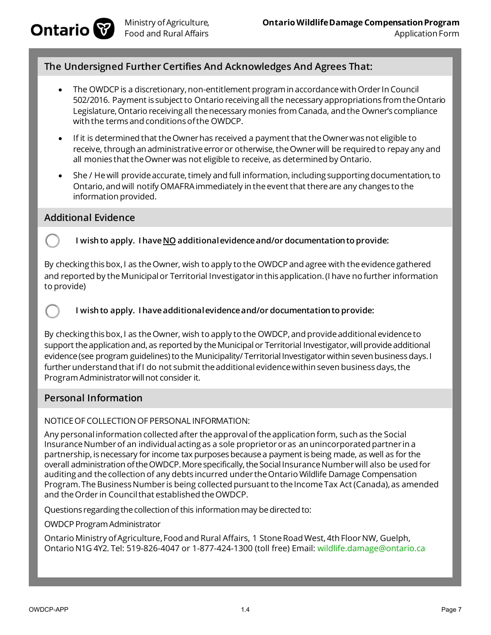

## **The Undersigned Further Certifies And Acknowledges And Agrees That:**

- The OWDCP is a discretionary, non-entitlement program in accordance with Order In Council 502/2016. Payment is subject to Ontario receiving all the necessary appropriations from the Ontario Legislature, Ontario receiving all the necessary monies from Canada, and the Owner's compliance with the terms and conditions of the OWDCP.
- If it is determined that the Owner has received a payment that the Owner was not eligible to receive, through an administrative error or otherwise, the Owner will be required to repay any and all monies that the Owner was not eligible to receive, as determined by Ontario.
- She / He will provide accurate, timely and full information, including supporting documentation, to Ontario, and will notify OMAFRA immediately in the event that there are any changes to the information provided.

#### **Additional Evidence**

#### **I wish to apply. I have NO additional evidence and/or documentation to provide:**

By checking this box, I as the Owner, wish to apply to the OWDCP and agree with the evidence gathered and reported by the Municipal or Territorial Investigator in this application. (I have no further information to provide)

#### **I wish to apply. I have additional evidence and/or documentation to provide:**

By checking this box, I as the Owner, wish to apply to the OWDCP, and provide additional evidence to support the application and, as reported by the Municipal or Territorial Investigator, will provide additional evidence (see program guidelines) to the Municipality/ Territorial Investigator within seven business days. I further understand that if I do not submit the additional evidence within seven business days, the ProgramAdministrator will not consider it.

## **Personal Information**

#### NOTICE OF COLLECTION OF PERSONAL INFORMATION:

Any personal information collected after theapprovalof theapplication form, such as the Social Insurance Number of an individual acting as a sole proprietor or as an unincorporated partner in a partnership, is necessary for income tax purposes because a payment is being made, as well as for the overall administration of the OWDCP. More specifically, the Social Insurance Number will also be used for auditing and thecollection of any debts incurred under theOntario Wildlife Damage Compensation Program. The Business Number is being collected pursuant to the Income Tax Act (Canada), as amended and the Order in Council that established the OWDCP.

Questions regarding the collection of this information may be directed to:

OWDCP Program Administrator

Ontario Ministry of Agriculture, Food and Rural Affairs, 1 Stone Road West, 4th Floor NW, Guelph, Ontario N1G 4Y2. Tel: 519-826-4047 or 1-877-424-1300 (toll free) Email: wildlife.damage@ontario.ca